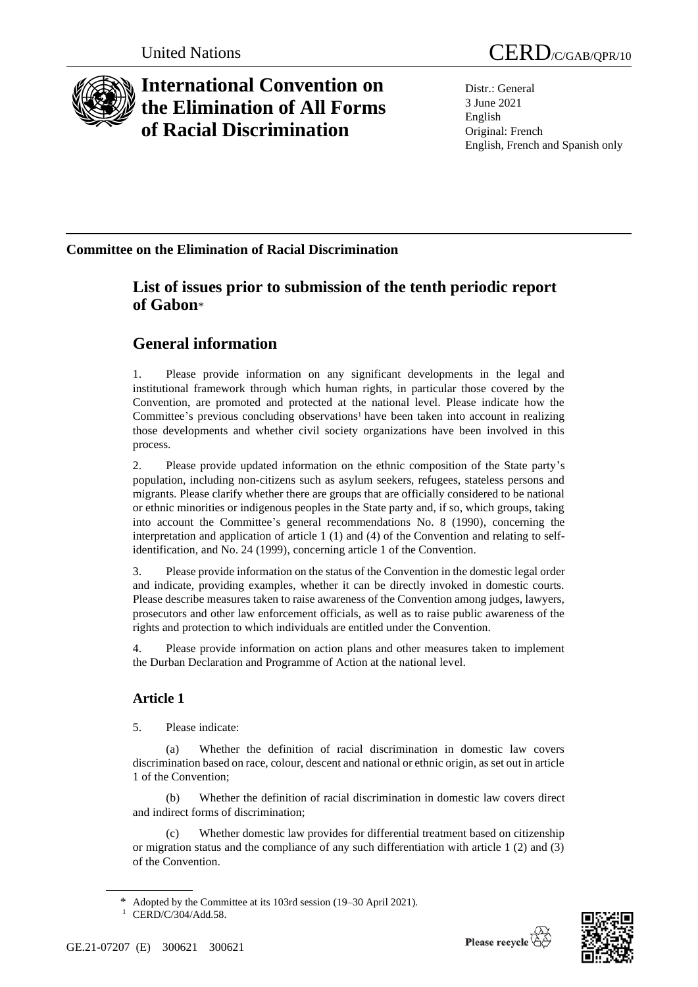

# **International Convention on the Elimination of All Forms of Racial Discrimination**

Distr.: General 3 June 2021 English Original: French English, French and Spanish only

### **Committee on the Elimination of Racial Discrimination**

## **List of issues prior to submission of the tenth periodic report of Gabon**\*

# **General information**

1. Please provide information on any significant developments in the legal and institutional framework through which human rights, in particular those covered by the Convention, are promoted and protected at the national level. Please indicate how the Committee's previous concluding observations<sup>1</sup> have been taken into account in realizing those developments and whether civil society organizations have been involved in this process.

2. Please provide updated information on the ethnic composition of the State party's population, including non-citizens such as asylum seekers, refugees, stateless persons and migrants. Please clarify whether there are groups that are officially considered to be national or ethnic minorities or indigenous peoples in the State party and, if so, which groups, taking into account the Committee's general recommendations No. 8 (1990), concerning the interpretation and application of article 1 (1) and (4) of the Convention and relating to selfidentification, and No. 24 (1999), concerning article 1 of the Convention.

3. Please provide information on the status of the Convention in the domestic legal order and indicate, providing examples, whether it can be directly invoked in domestic courts. Please describe measures taken to raise awareness of the Convention among judges, lawyers, prosecutors and other law enforcement officials, as well as to raise public awareness of the rights and protection to which individuals are entitled under the Convention.

4. Please provide information on action plans and other measures taken to implement the Durban Declaration and Programme of Action at the national level.

### **Article 1**

5. Please indicate:

(a) Whether the definition of racial discrimination in domestic law covers discrimination based on race, colour, descent and national or ethnic origin, as set out in article 1 of the Convention;

(b) Whether the definition of racial discrimination in domestic law covers direct and indirect forms of discrimination;

Whether domestic law provides for differential treatment based on citizenship or migration status and the compliance of any such differentiation with article 1 (2) and (3) of the Convention.

Adopted by the Committee at its 103rd session (19–30 April 2021).

<sup>1</sup> CERD/C/304/Add.58.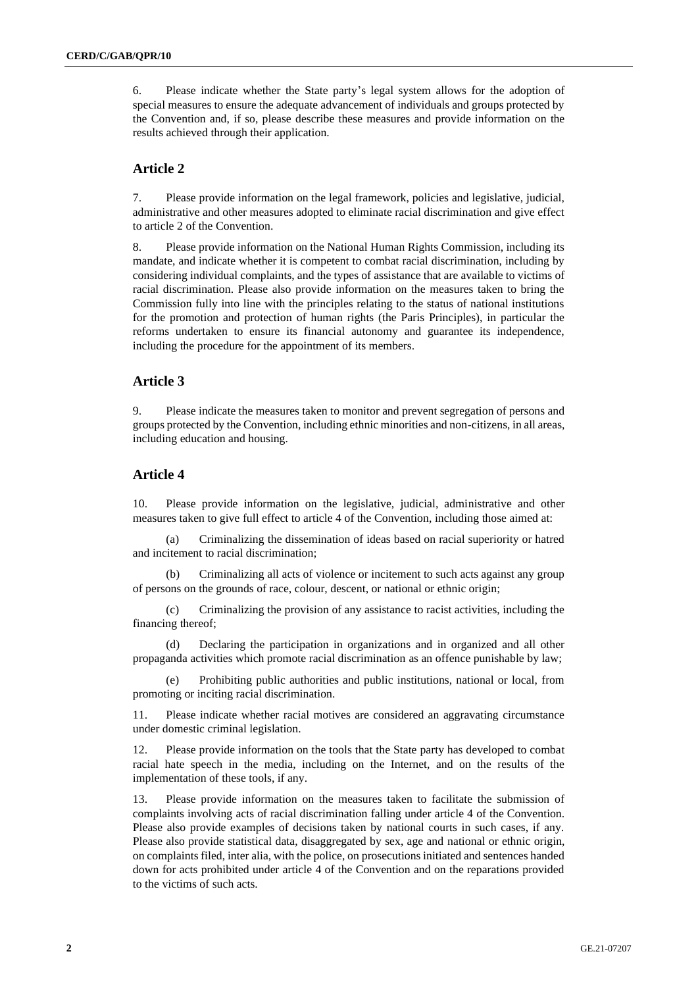6. Please indicate whether the State party's legal system allows for the adoption of special measures to ensure the adequate advancement of individuals and groups protected by the Convention and, if so, please describe these measures and provide information on the results achieved through their application.

#### **Article 2**

7. Please provide information on the legal framework, policies and legislative, judicial, administrative and other measures adopted to eliminate racial discrimination and give effect to article 2 of the Convention.

8. Please provide information on the National Human Rights Commission, including its mandate, and indicate whether it is competent to combat racial discrimination, including by considering individual complaints, and the types of assistance that are available to victims of racial discrimination. Please also provide information on the measures taken to bring the Commission fully into line with the principles relating to the status of national institutions for the promotion and protection of human rights (the Paris Principles), in particular the reforms undertaken to ensure its financial autonomy and guarantee its independence, including the procedure for the appointment of its members.

#### **Article 3**

9. Please indicate the measures taken to monitor and prevent segregation of persons and groups protected by the Convention, including ethnic minorities and non-citizens, in all areas, including education and housing.

#### **Article 4**

10. Please provide information on the legislative, judicial, administrative and other measures taken to give full effect to article 4 of the Convention, including those aimed at:

(a) Criminalizing the dissemination of ideas based on racial superiority or hatred and incitement to racial discrimination;

(b) Criminalizing all acts of violence or incitement to such acts against any group of persons on the grounds of race, colour, descent, or national or ethnic origin;

(c) Criminalizing the provision of any assistance to racist activities, including the financing thereof;

(d) Declaring the participation in organizations and in organized and all other propaganda activities which promote racial discrimination as an offence punishable by law;

Prohibiting public authorities and public institutions, national or local, from promoting or inciting racial discrimination.

11. Please indicate whether racial motives are considered an aggravating circumstance under domestic criminal legislation.

12. Please provide information on the tools that the State party has developed to combat racial hate speech in the media, including on the Internet, and on the results of the implementation of these tools, if any.

13. Please provide information on the measures taken to facilitate the submission of complaints involving acts of racial discrimination falling under article 4 of the Convention. Please also provide examples of decisions taken by national courts in such cases, if any. Please also provide statistical data, disaggregated by sex, age and national or ethnic origin, on complaints filed, inter alia, with the police, on prosecutions initiated and sentences handed down for acts prohibited under article 4 of the Convention and on the reparations provided to the victims of such acts.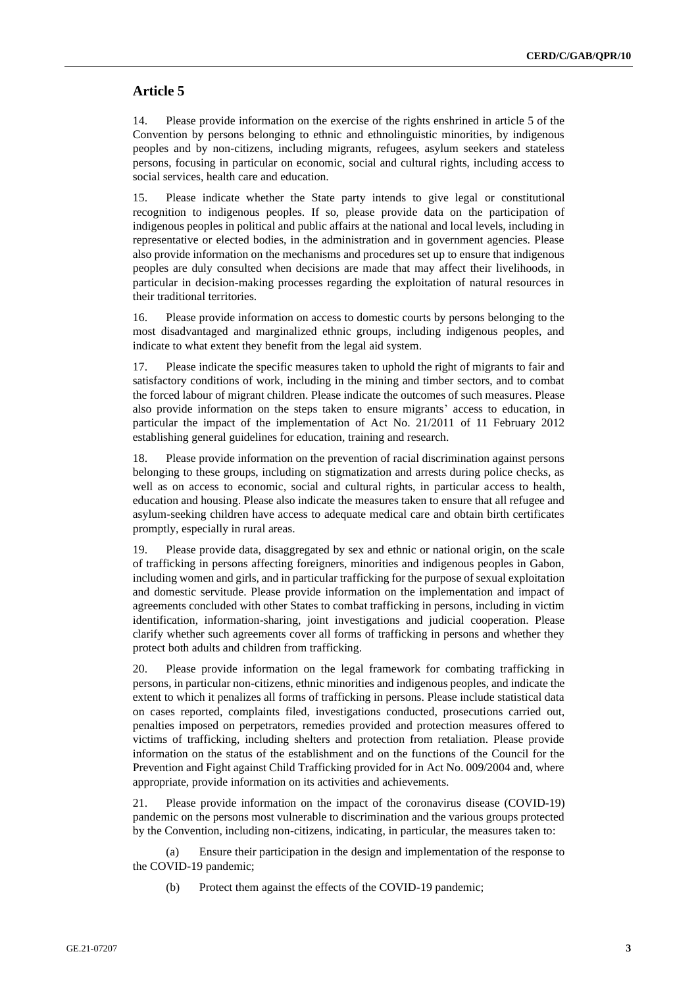#### **Article 5**

14. Please provide information on the exercise of the rights enshrined in article 5 of the Convention by persons belonging to ethnic and ethnolinguistic minorities, by indigenous peoples and by non-citizens, including migrants, refugees, asylum seekers and stateless persons, focusing in particular on economic, social and cultural rights, including access to social services, health care and education.

15. Please indicate whether the State party intends to give legal or constitutional recognition to indigenous peoples. If so, please provide data on the participation of indigenous peoples in political and public affairs at the national and local levels, including in representative or elected bodies, in the administration and in government agencies. Please also provide information on the mechanisms and procedures set up to ensure that indigenous peoples are duly consulted when decisions are made that may affect their livelihoods, in particular in decision-making processes regarding the exploitation of natural resources in their traditional territories.

16. Please provide information on access to domestic courts by persons belonging to the most disadvantaged and marginalized ethnic groups, including indigenous peoples, and indicate to what extent they benefit from the legal aid system.

17. Please indicate the specific measures taken to uphold the right of migrants to fair and satisfactory conditions of work, including in the mining and timber sectors, and to combat the forced labour of migrant children. Please indicate the outcomes of such measures. Please also provide information on the steps taken to ensure migrants' access to education, in particular the impact of the implementation of Act No. 21/2011 of 11 February 2012 establishing general guidelines for education, training and research.

18. Please provide information on the prevention of racial discrimination against persons belonging to these groups, including on stigmatization and arrests during police checks, as well as on access to economic, social and cultural rights, in particular access to health, education and housing. Please also indicate the measures taken to ensure that all refugee and asylum-seeking children have access to adequate medical care and obtain birth certificates promptly, especially in rural areas.

19. Please provide data, disaggregated by sex and ethnic or national origin, on the scale of trafficking in persons affecting foreigners, minorities and indigenous peoples in Gabon, including women and girls, and in particular trafficking for the purpose of sexual exploitation and domestic servitude. Please provide information on the implementation and impact of agreements concluded with other States to combat trafficking in persons, including in victim identification, information-sharing, joint investigations and judicial cooperation. Please clarify whether such agreements cover all forms of trafficking in persons and whether they protect both adults and children from trafficking.

20. Please provide information on the legal framework for combating trafficking in persons, in particular non-citizens, ethnic minorities and indigenous peoples, and indicate the extent to which it penalizes all forms of trafficking in persons. Please include statistical data on cases reported, complaints filed, investigations conducted, prosecutions carried out, penalties imposed on perpetrators, remedies provided and protection measures offered to victims of trafficking, including shelters and protection from retaliation. Please provide information on the status of the establishment and on the functions of the Council for the Prevention and Fight against Child Trafficking provided for in Act No. 009/2004 and, where appropriate, provide information on its activities and achievements.

21. Please provide information on the impact of the coronavirus disease (COVID-19) pandemic on the persons most vulnerable to discrimination and the various groups protected by the Convention, including non-citizens, indicating, in particular, the measures taken to:

(a) Ensure their participation in the design and implementation of the response to the COVID-19 pandemic;

(b) Protect them against the effects of the COVID-19 pandemic;